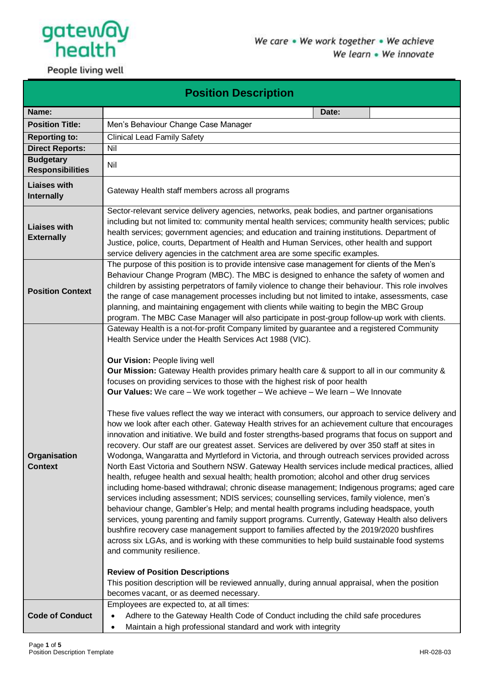

People living well

| <b>Position Description</b>                 |                                                                                                                                                                                                                                                                                                                                                                                                                                                                                                                                                                                                                                                                                                                                                                                                                                                                                                                                                                                                                                                                                                                                                                                                                                                                                                                                                                                                                                                                                                                                                                                                                                                                                                                                                                                                                                                                                                                                                                                                         |  |  |  |  |  |
|---------------------------------------------|---------------------------------------------------------------------------------------------------------------------------------------------------------------------------------------------------------------------------------------------------------------------------------------------------------------------------------------------------------------------------------------------------------------------------------------------------------------------------------------------------------------------------------------------------------------------------------------------------------------------------------------------------------------------------------------------------------------------------------------------------------------------------------------------------------------------------------------------------------------------------------------------------------------------------------------------------------------------------------------------------------------------------------------------------------------------------------------------------------------------------------------------------------------------------------------------------------------------------------------------------------------------------------------------------------------------------------------------------------------------------------------------------------------------------------------------------------------------------------------------------------------------------------------------------------------------------------------------------------------------------------------------------------------------------------------------------------------------------------------------------------------------------------------------------------------------------------------------------------------------------------------------------------------------------------------------------------------------------------------------------------|--|--|--|--|--|
| Name:                                       | Date:                                                                                                                                                                                                                                                                                                                                                                                                                                                                                                                                                                                                                                                                                                                                                                                                                                                                                                                                                                                                                                                                                                                                                                                                                                                                                                                                                                                                                                                                                                                                                                                                                                                                                                                                                                                                                                                                                                                                                                                                   |  |  |  |  |  |
| <b>Position Title:</b>                      | Men's Behaviour Change Case Manager                                                                                                                                                                                                                                                                                                                                                                                                                                                                                                                                                                                                                                                                                                                                                                                                                                                                                                                                                                                                                                                                                                                                                                                                                                                                                                                                                                                                                                                                                                                                                                                                                                                                                                                                                                                                                                                                                                                                                                     |  |  |  |  |  |
| <b>Reporting to:</b>                        | <b>Clinical Lead Family Safety</b>                                                                                                                                                                                                                                                                                                                                                                                                                                                                                                                                                                                                                                                                                                                                                                                                                                                                                                                                                                                                                                                                                                                                                                                                                                                                                                                                                                                                                                                                                                                                                                                                                                                                                                                                                                                                                                                                                                                                                                      |  |  |  |  |  |
| <b>Direct Reports:</b>                      | Nil                                                                                                                                                                                                                                                                                                                                                                                                                                                                                                                                                                                                                                                                                                                                                                                                                                                                                                                                                                                                                                                                                                                                                                                                                                                                                                                                                                                                                                                                                                                                                                                                                                                                                                                                                                                                                                                                                                                                                                                                     |  |  |  |  |  |
| <b>Budgetary</b><br><b>Responsibilities</b> | Nil                                                                                                                                                                                                                                                                                                                                                                                                                                                                                                                                                                                                                                                                                                                                                                                                                                                                                                                                                                                                                                                                                                                                                                                                                                                                                                                                                                                                                                                                                                                                                                                                                                                                                                                                                                                                                                                                                                                                                                                                     |  |  |  |  |  |
| <b>Liaises with</b><br><b>Internally</b>    | Gateway Health staff members across all programs                                                                                                                                                                                                                                                                                                                                                                                                                                                                                                                                                                                                                                                                                                                                                                                                                                                                                                                                                                                                                                                                                                                                                                                                                                                                                                                                                                                                                                                                                                                                                                                                                                                                                                                                                                                                                                                                                                                                                        |  |  |  |  |  |
| <b>Liaises with</b><br><b>Externally</b>    | Sector-relevant service delivery agencies, networks, peak bodies, and partner organisations<br>including but not limited to: community mental health services; community health services; public<br>health services; government agencies; and education and training institutions. Department of<br>Justice, police, courts, Department of Health and Human Services, other health and support<br>service delivery agencies in the catchment area are some specific examples.                                                                                                                                                                                                                                                                                                                                                                                                                                                                                                                                                                                                                                                                                                                                                                                                                                                                                                                                                                                                                                                                                                                                                                                                                                                                                                                                                                                                                                                                                                                           |  |  |  |  |  |
| <b>Position Context</b>                     | The purpose of this position is to provide intensive case management for clients of the Men's<br>Behaviour Change Program (MBC). The MBC is designed to enhance the safety of women and<br>children by assisting perpetrators of family violence to change their behaviour. This role involves<br>the range of case management processes including but not limited to intake, assessments, case<br>planning, and maintaining engagement with clients while waiting to begin the MBC Group<br>program. The MBC Case Manager will also participate in post-group follow-up work with clients.                                                                                                                                                                                                                                                                                                                                                                                                                                                                                                                                                                                                                                                                                                                                                                                                                                                                                                                                                                                                                                                                                                                                                                                                                                                                                                                                                                                                             |  |  |  |  |  |
| Organisation<br><b>Context</b>              | Gateway Health is a not-for-profit Company limited by guarantee and a registered Community<br>Health Service under the Health Services Act 1988 (VIC).<br>Our Vision: People living well<br><b>Our Mission:</b> Gateway Health provides primary health care & support to all in our community &<br>focuses on providing services to those with the highest risk of poor health<br><b>Our Values:</b> We care – We work together – We achieve – We learn – We Innovate<br>These five values reflect the way we interact with consumers, our approach to service delivery and<br>how we look after each other. Gateway Health strives for an achievement culture that encourages<br>innovation and initiative. We build and foster strengths-based programs that focus on support and<br>recovery. Our staff are our greatest asset. Services are delivered by over 350 staff at sites in<br>Wodonga, Wangaratta and Myrtleford in Victoria, and through outreach services provided across<br>North East Victoria and Southern NSW. Gateway Health services include medical practices, allied<br>health, refugee health and sexual health; health promotion; alcohol and other drug services<br>including home-based withdrawal; chronic disease management; Indigenous programs; aged care<br>services including assessment; NDIS services; counselling services, family violence, men's<br>behaviour change, Gambler's Help; and mental health programs including headspace, youth<br>services, young parenting and family support programs. Currently, Gateway Health also delivers<br>bushfire recovery case management support to families affected by the 2019/2020 bushfires<br>across six LGAs, and is working with these communities to help build sustainable food systems<br>and community resilience.<br><b>Review of Position Descriptions</b><br>This position description will be reviewed annually, during annual appraisal, when the position<br>becomes vacant, or as deemed necessary. |  |  |  |  |  |
| <b>Code of Conduct</b>                      | Employees are expected to, at all times:<br>Adhere to the Gateway Health Code of Conduct including the child safe procedures<br>$\bullet$<br>Maintain a high professional standard and work with integrity<br>$\bullet$                                                                                                                                                                                                                                                                                                                                                                                                                                                                                                                                                                                                                                                                                                                                                                                                                                                                                                                                                                                                                                                                                                                                                                                                                                                                                                                                                                                                                                                                                                                                                                                                                                                                                                                                                                                 |  |  |  |  |  |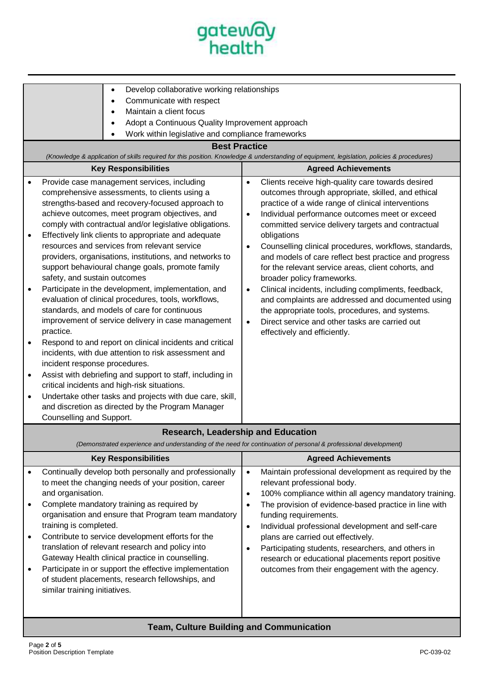

|                                                                                                                                                                                                                                                                                                                                                                                                                                                                                                                                                                                                                                                                                                                                                                                                                                                                                                                                                                                                                                                                                                                                                                                                                         | Develop collaborative working relationships<br>٠<br>Communicate with respect<br>$\bullet$<br>Maintain a client focus<br>$\bullet$<br>Adopt a Continuous Quality Improvement approach<br>Work within legislative and compliance frameworks<br><b>Best Practice</b><br>(Knowledge & application of skills required for this position. Knowledge & understanding of equipment, legislation, policies & procedures) |                                                                                                                                                                                                                                                                                                                                                                                                                                                                                                                                                                                                                                                                                                                                                                                                                 |  |  |  |
|-------------------------------------------------------------------------------------------------------------------------------------------------------------------------------------------------------------------------------------------------------------------------------------------------------------------------------------------------------------------------------------------------------------------------------------------------------------------------------------------------------------------------------------------------------------------------------------------------------------------------------------------------------------------------------------------------------------------------------------------------------------------------------------------------------------------------------------------------------------------------------------------------------------------------------------------------------------------------------------------------------------------------------------------------------------------------------------------------------------------------------------------------------------------------------------------------------------------------|-----------------------------------------------------------------------------------------------------------------------------------------------------------------------------------------------------------------------------------------------------------------------------------------------------------------------------------------------------------------------------------------------------------------|-----------------------------------------------------------------------------------------------------------------------------------------------------------------------------------------------------------------------------------------------------------------------------------------------------------------------------------------------------------------------------------------------------------------------------------------------------------------------------------------------------------------------------------------------------------------------------------------------------------------------------------------------------------------------------------------------------------------------------------------------------------------------------------------------------------------|--|--|--|
|                                                                                                                                                                                                                                                                                                                                                                                                                                                                                                                                                                                                                                                                                                                                                                                                                                                                                                                                                                                                                                                                                                                                                                                                                         | <b>Key Responsibilities</b>                                                                                                                                                                                                                                                                                                                                                                                     | <b>Agreed Achievements</b>                                                                                                                                                                                                                                                                                                                                                                                                                                                                                                                                                                                                                                                                                                                                                                                      |  |  |  |
| Provide case management services, including<br>$\bullet$<br>comprehensive assessments, to clients using a<br>strengths-based and recovery-focused approach to<br>achieve outcomes, meet program objectives, and<br>comply with contractual and/or legislative obligations.<br>Effectively link clients to appropriate and adequate<br>$\bullet$<br>resources and services from relevant service<br>providers, organisations, institutions, and networks to<br>support behavioural change goals, promote family<br>safety, and sustain outcomes<br>Participate in the development, implementation, and<br>$\bullet$<br>evaluation of clinical procedures, tools, workflows,<br>standards, and models of care for continuous<br>improvement of service delivery in case management<br>practice.<br>Respond to and report on clinical incidents and critical<br>$\bullet$<br>incidents, with due attention to risk assessment and<br>incident response procedures.<br>Assist with debriefing and support to staff, including in<br>$\bullet$<br>critical incidents and high-risk situations.<br>Undertake other tasks and projects with due care, skill,<br>$\bullet$<br>and discretion as directed by the Program Manager |                                                                                                                                                                                                                                                                                                                                                                                                                 | Clients receive high-quality care towards desired<br>$\bullet$<br>outcomes through appropriate, skilled, and ethical<br>practice of a wide range of clinical interventions<br>Individual performance outcomes meet or exceed<br>$\bullet$<br>committed service delivery targets and contractual<br>obligations<br>Counselling clinical procedures, workflows, standards,<br>$\bullet$<br>and models of care reflect best practice and progress<br>for the relevant service areas, client cohorts, and<br>broader policy frameworks.<br>Clinical incidents, including compliments, feedback,<br>$\bullet$<br>and complaints are addressed and documented using<br>the appropriate tools, procedures, and systems.<br>Direct service and other tasks are carried out<br>$\bullet$<br>effectively and efficiently. |  |  |  |
|                                                                                                                                                                                                                                                                                                                                                                                                                                                                                                                                                                                                                                                                                                                                                                                                                                                                                                                                                                                                                                                                                                                                                                                                                         | <b>Research, Leadership and Education</b>                                                                                                                                                                                                                                                                                                                                                                       |                                                                                                                                                                                                                                                                                                                                                                                                                                                                                                                                                                                                                                                                                                                                                                                                                 |  |  |  |
|                                                                                                                                                                                                                                                                                                                                                                                                                                                                                                                                                                                                                                                                                                                                                                                                                                                                                                                                                                                                                                                                                                                                                                                                                         | (Demonstrated experience and understanding of the need for continuation of personal & professional development)                                                                                                                                                                                                                                                                                                 |                                                                                                                                                                                                                                                                                                                                                                                                                                                                                                                                                                                                                                                                                                                                                                                                                 |  |  |  |
|                                                                                                                                                                                                                                                                                                                                                                                                                                                                                                                                                                                                                                                                                                                                                                                                                                                                                                                                                                                                                                                                                                                                                                                                                         | <b>Key Responsibilities</b>                                                                                                                                                                                                                                                                                                                                                                                     | <b>Agreed Achievements</b>                                                                                                                                                                                                                                                                                                                                                                                                                                                                                                                                                                                                                                                                                                                                                                                      |  |  |  |
| $\bullet$<br>٠                                                                                                                                                                                                                                                                                                                                                                                                                                                                                                                                                                                                                                                                                                                                                                                                                                                                                                                                                                                                                                                                                                                                                                                                          | Continually develop both personally and professionally<br>to meet the changing needs of your position, career<br>and organisation.<br>Complete mandatory training as required by<br>organisation and ensure that Program team mandatory                                                                                                                                                                         | Maintain professional development as required by the<br>$\bullet$<br>relevant professional body.<br>100% compliance within all agency mandatory training.<br>$\bullet$<br>The provision of evidence-based practice in line with<br>$\bullet$<br>funding requirements.                                                                                                                                                                                                                                                                                                                                                                                                                                                                                                                                           |  |  |  |

- training is completed. • Contribute to service development efforts for the translation of relevant research and policy into Gateway Health clinical practice in counselling.
- Participate in or support the effective implementation of student placements, research fellowships, and similar training initiatives.

# • Individual professional development and self-care plans are carried out effectively.

• Participating students, researchers, and others in research or educational placements report positive outcomes from their engagement with the agency.

# **Team, Culture Building and Communication**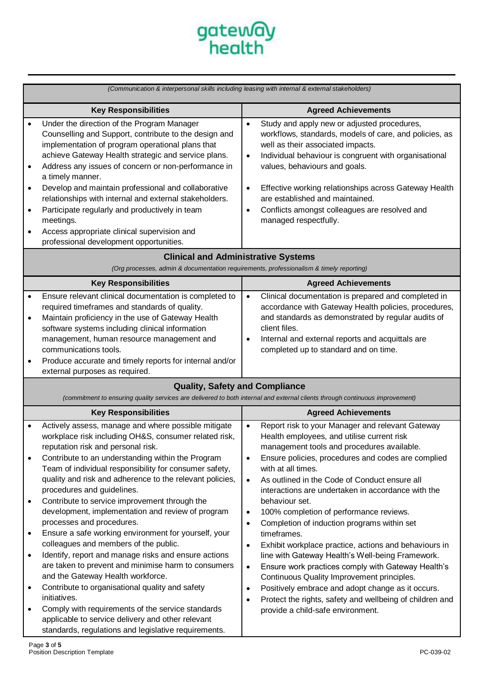

|                                                                                                                        | (Communication & interpersonal skills including leasing with internal & external stakeholders)                                                                                                                                                                                                                                                                                                                                                                                                                                                                      |                                                  |                                                                                                                                                                                                                                                                                                                                                                                                            |  |  |
|------------------------------------------------------------------------------------------------------------------------|---------------------------------------------------------------------------------------------------------------------------------------------------------------------------------------------------------------------------------------------------------------------------------------------------------------------------------------------------------------------------------------------------------------------------------------------------------------------------------------------------------------------------------------------------------------------|--------------------------------------------------|------------------------------------------------------------------------------------------------------------------------------------------------------------------------------------------------------------------------------------------------------------------------------------------------------------------------------------------------------------------------------------------------------------|--|--|
| <b>Key Responsibilities</b>                                                                                            |                                                                                                                                                                                                                                                                                                                                                                                                                                                                                                                                                                     |                                                  | <b>Agreed Achievements</b>                                                                                                                                                                                                                                                                                                                                                                                 |  |  |
| $\bullet$<br>$\bullet$<br>$\bullet$<br>$\bullet$                                                                       | Under the direction of the Program Manager<br>Counselling and Support, contribute to the design and<br>implementation of program operational plans that<br>achieve Gateway Health strategic and service plans.<br>Address any issues of concern or non-performance in<br>a timely manner.<br>Develop and maintain professional and collaborative<br>relationships with internal and external stakeholders.<br>Participate regularly and productively in team<br>meetings.<br>Access appropriate clinical supervision and<br>professional development opportunities. | $\bullet$<br>$\bullet$<br>$\bullet$<br>$\bullet$ | Study and apply new or adjusted procedures,<br>workflows, standards, models of care, and policies, as<br>well as their associated impacts.<br>Individual behaviour is congruent with organisational<br>values, behaviours and goals.<br>Effective working relationships across Gateway Health<br>are established and maintained.<br>Conflicts amongst colleagues are resolved and<br>managed respectfully. |  |  |
|                                                                                                                        | <b>Clinical and Administrative Systems</b>                                                                                                                                                                                                                                                                                                                                                                                                                                                                                                                          |                                                  |                                                                                                                                                                                                                                                                                                                                                                                                            |  |  |
| (Org processes, admin & documentation requirements, professionalism & timely reporting)<br><b>Key Responsibilities</b> |                                                                                                                                                                                                                                                                                                                                                                                                                                                                                                                                                                     |                                                  | <b>Agreed Achievements</b>                                                                                                                                                                                                                                                                                                                                                                                 |  |  |
| $\bullet$<br>$\bullet$                                                                                                 | Ensure relevant clinical documentation is completed to<br>required timeframes and standards of quality.<br>Maintain proficiency in the use of Gateway Health<br>software systems including clinical information<br>management, human resource management and<br>communications tools.<br>Produce accurate and timely reports for internal and/or<br>external purposes as required.                                                                                                                                                                                  | $\bullet$<br>$\bullet$                           | Clinical documentation is prepared and completed in<br>accordance with Gateway Health policies, procedures,<br>and standards as demonstrated by regular audits of<br>client files.<br>Internal and external reports and acquittals are<br>completed up to standard and on time.                                                                                                                            |  |  |
|                                                                                                                        | <b>Quality, Safety and Compliance</b>                                                                                                                                                                                                                                                                                                                                                                                                                                                                                                                               |                                                  |                                                                                                                                                                                                                                                                                                                                                                                                            |  |  |
|                                                                                                                        | (commitment to ensuring quality services are delivered to both internal and external clients through continuous improvement)                                                                                                                                                                                                                                                                                                                                                                                                                                        |                                                  |                                                                                                                                                                                                                                                                                                                                                                                                            |  |  |
|                                                                                                                        | <b>Key Responsibilities</b>                                                                                                                                                                                                                                                                                                                                                                                                                                                                                                                                         |                                                  | <b>Agreed Achievements</b>                                                                                                                                                                                                                                                                                                                                                                                 |  |  |
| $\bullet$                                                                                                              | Actively assess, manage and where possible mitigate<br>workplace risk including OH&S, consumer related risk,<br>reputation risk and personal risk.<br>Contribute to an understanding within the Program<br>Team of individual responsibility for consumer safety,<br>quality and risk and adherence to the relevant policies,                                                                                                                                                                                                                                       | $\bullet$<br>$\bullet$<br>$\bullet$              | Report risk to your Manager and relevant Gateway<br>Health employees, and utilise current risk<br>management tools and procedures available.<br>Ensure policies, procedures and codes are complied<br>with at all times.<br>As outlined in the Code of Conduct ensure all                                                                                                                                  |  |  |
| $\bullet$<br>٠                                                                                                         | procedures and guidelines.<br>Contribute to service improvement through the<br>development, implementation and review of program<br>processes and procedures.<br>Ensure a safe working environment for yourself, your                                                                                                                                                                                                                                                                                                                                               | $\bullet$<br>$\bullet$                           | interactions are undertaken in accordance with the<br>behaviour set.<br>100% completion of performance reviews.<br>Completion of induction programs within set<br>timeframes.                                                                                                                                                                                                                              |  |  |
| $\bullet$                                                                                                              | colleagues and members of the public.<br>Identify, report and manage risks and ensure actions<br>are taken to prevent and minimise harm to consumers<br>and the Gateway Health workforce.                                                                                                                                                                                                                                                                                                                                                                           | $\bullet$<br>$\bullet$                           | Exhibit workplace practice, actions and behaviours in<br>line with Gateway Health's Well-being Framework.<br>Ensure work practices comply with Gateway Health's<br>Continuous Quality Improvement principles.                                                                                                                                                                                              |  |  |
| ٠<br>$\bullet$                                                                                                         | Contribute to organisational quality and safety<br>initiatives.<br>Comply with requirements of the service standards<br>applicable to service delivery and other relevant<br>standards, regulations and legislative requirements.                                                                                                                                                                                                                                                                                                                                   | $\bullet$<br>$\bullet$                           | Positively embrace and adopt change as it occurs.<br>Protect the rights, safety and wellbeing of children and<br>provide a child-safe environment.                                                                                                                                                                                                                                                         |  |  |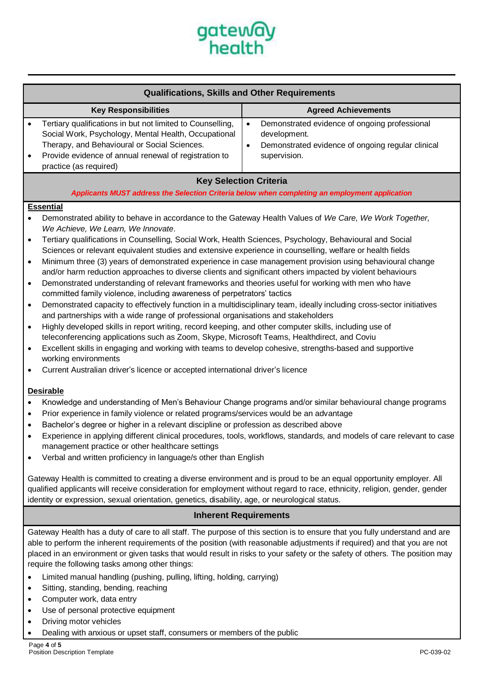

| <b>Qualifications, Skills and Other Requirements</b>                                                                                                                                                                                                  |   |                                                                                                                                    |  |  |
|-------------------------------------------------------------------------------------------------------------------------------------------------------------------------------------------------------------------------------------------------------|---|------------------------------------------------------------------------------------------------------------------------------------|--|--|
| <b>Key Responsibilities</b>                                                                                                                                                                                                                           |   | <b>Agreed Achievements</b>                                                                                                         |  |  |
| Tertiary qualifications in but not limited to Counselling,<br>Social Work, Psychology, Mental Health, Occupational<br>Therapy, and Behavioural or Social Sciences.<br>Provide evidence of annual renewal of registration to<br>practice (as required) | с | Demonstrated evidence of ongoing professional<br>development.<br>Demonstrated evidence of ongoing regular clinical<br>supervision. |  |  |
| <b>Kay Salaction Critoria</b>                                                                                                                                                                                                                         |   |                                                                                                                                    |  |  |

#### **Key Selection Criteria**

*Applicants MUST address the Selection Criteria below when completing an employment application*

### **Essential**

- Demonstrated ability to behave in accordance to the Gateway Health Values of *We Care, We Work Together, We Achieve, We Learn, We Innovate*.
- Tertiary qualifications in Counselling, Social Work, Health Sciences, Psychology, Behavioural and Social Sciences or relevant equivalent studies and extensive experience in counselling, welfare or health fields
- Minimum three (3) years of demonstrated experience in case management provision using behavioural change and/or harm reduction approaches to diverse clients and significant others impacted by violent behaviours
- Demonstrated understanding of relevant frameworks and theories useful for working with men who have committed family violence, including awareness of perpetrators' tactics
- Demonstrated capacity to effectively function in a multidisciplinary team, ideally including cross-sector initiatives and partnerships with a wide range of professional organisations and stakeholders
- Highly developed skills in report writing, record keeping, and other computer skills, including use of teleconferencing applications such as Zoom, Skype, Microsoft Teams, Healthdirect, and Coviu
- Excellent skills in engaging and working with teams to develop cohesive, strengths-based and supportive working environments
- Current Australian driver's licence or accepted international driver's licence

#### **Desirable**

- Knowledge and understanding of Men's Behaviour Change programs and/or similar behavioural change programs
- Prior experience in family violence or related programs/services would be an advantage
- Bachelor's degree or higher in a relevant discipline or profession as described above
- Experience in applying different clinical procedures, tools, workflows, standards, and models of care relevant to case management practice or other healthcare settings
- Verbal and written proficiency in language/s other than English

Gateway Health is committed to creating a diverse environment and is proud to be an equal opportunity employer. All qualified applicants will receive consideration for employment without regard to race, ethnicity, religion, gender, gender identity or expression, sexual orientation, genetics, disability, age, or neurological status.

#### **Inherent Requirements**

Gateway Health has a duty of care to all staff. The purpose of this section is to ensure that you fully understand and are able to perform the inherent requirements of the position (with reasonable adjustments if required) and that you are not placed in an environment or given tasks that would result in risks to your safety or the safety of others. The position may require the following tasks among other things:

- Limited manual handling (pushing, pulling, lifting, holding, carrying)
- Sitting, standing, bending, reaching
- Computer work, data entry
- Use of personal protective equipment
- Driving motor vehicles
- Dealing with anxious or upset staff, consumers or members of the public